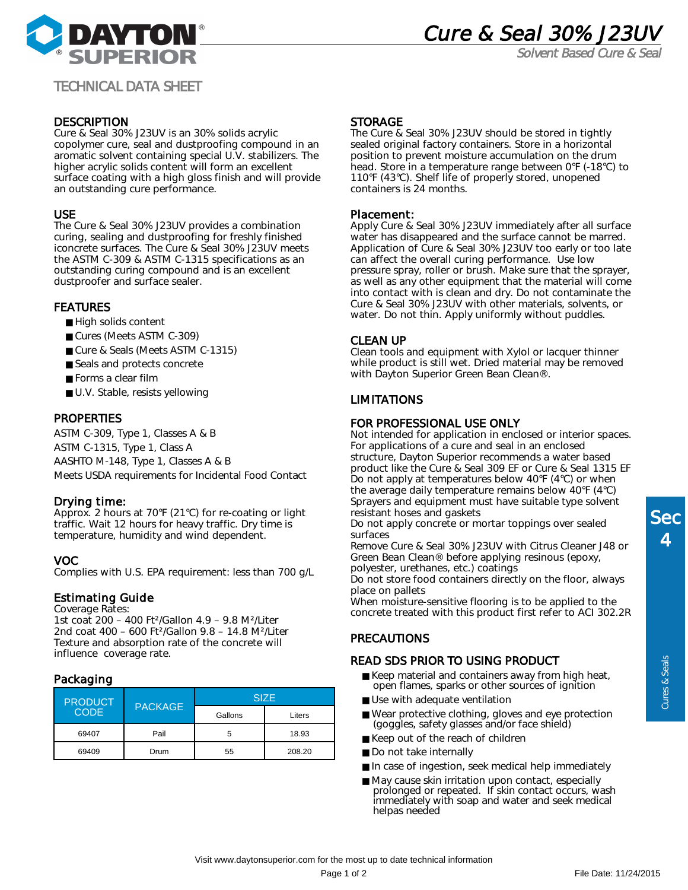

Solvent Based Cure & Seal

# TECHNICAL DATA SHEET

# **DESCRIPTION**

Cure & Seal 30% J23UV is an 30% solids acrylic copolymer cure, seal and dustproofing compound in an aromatic solvent containing special U.V. stabilizers. The higher acrylic solids content will form an excellent surface coating with a high gloss finish and will provide an outstanding cure performance.

## USE

The Cure & Seal 30% J23UV provides a combination curing, sealing and dustproofing for freshly finished iconcrete surfaces. The Cure & Seal 30% J23UV meets the ASTM C-309 & ASTM C-1315 specifications as an outstanding curing compound and is an excellent dustproofer and surface sealer.

## FEATURES

- High solids content
- Cures (Meets ASTM C-309)
- Cure & Seals (Meets ASTM C-1315)
- Seals and protects concrete
- Forms a clear film
- U.V. Stable, resists yellowing

## **PROPERTIES**

ASTM C-309, Type 1, Classes A & B ASTM C-1315, Type 1, Class A AASHTO M-148, Type 1, Classes A & B Meets USDA requirements for Incidental Food Contact

#### Drying time:

Approx. 2 hours at 70°F (21°C) for re-coating or light traffic. Wait 12 hours for heavy traffic. Dry time is temperature, humidity and wind dependent.

#### VOC

Complies with U.S. EPA requirement: less than 700 g/L

#### Estimating Guide

Coverage Rates:

1st coat 200 – 400 Ft²/Gallon 4.9 – 9.8 M²/Liter 2nd coat 400 – 600 Ft²/Gallon 9.8 – 14.8 M²/Liter Texture and absorption rate of the concrete will influence coverage rate.

# Packaging

| <b>PRODUCT</b><br><b>CODE</b> | <b>PACKAGE</b> | <b>SIZE</b> |        |
|-------------------------------|----------------|-------------|--------|
|                               |                | Gallons     | Liters |
| 69407                         | Pail           | 5           | 18.93  |
| 69409                         | Drum           | 55          | 208.20 |

#### **STORAGE**

The Cure & Seal 30% J23UV should be stored in tightly sealed original factory containers. Store in a horizontal position to prevent moisture accumulation on the drum head. Store in a temperature range between 0°F (-18°C) to 110°F (43°C). Shelf life of properly stored, unopened containers is 24 months.

#### Placement:

Apply Cure & Seal 30% J23UV immediately after all surface water has disappeared and the surface cannot be marred. Application of Cure & Seal 30% J23UV too early or too late can affect the overall curing performance. Use low pressure spray, roller or brush. Make sure that the sprayer, as well as any other equipment that the material will come into contact with is clean and dry. Do not contaminate the Cure & Seal 30% J23UV with other materials, solvents, or water. Do not thin. Apply uniformly without puddles.

## CLEAN UP

Clean tools and equipment with Xylol or lacquer thinner while product is still wet. Dried material may be removed with Dayton Superior Green Bean Clean®.

# LIMITATIONS

## FOR PROFESSIONAL USE ONLY

Not intended for application in enclosed or interior spaces. For applications of a cure and seal in an enclosed structure, Dayton Superior recommends a water based product like the Cure & Seal 309 EF or Cure & Seal 1315 EF Do not apply at temperatures below 40°F (4°C) or when the average daily temperature remains below 40°F (4°C) Sprayers and equipment must have suitable type solvent resistant hoses and gaskets

Do not apply concrete or mortar toppings over sealed surfaces

Remove Cure & Seal 30% J23UV with Citrus Cleaner J48 or Green Bean Clean® before applying resinous (epoxy, polyester, urethanes, etc.) coatings

Do not store food containers directly on the floor, always place on pallets

When moisture-sensitive flooring is to be applied to the concrete treated with this product first refer to ACI 302.2R

# **PRECAUTIONS**

#### READ SDS PRIOR TO USING PRODUCT

- Keep material and containers away from high heat, open flames, sparks or other sources of ignition
- Use with adequate ventilation
- Wear protective clothing, gloves and eye protection (goggles, safety glasses and/or face shield)
- Keep out of the reach of children
- Do not take internally
- In case of ingestion, seek medical help immediately
- May cause skin irritation upon contact, especially prolonged or repeated. If skin contact occurs, wash immediately with soap and water and seek medical helpas needed